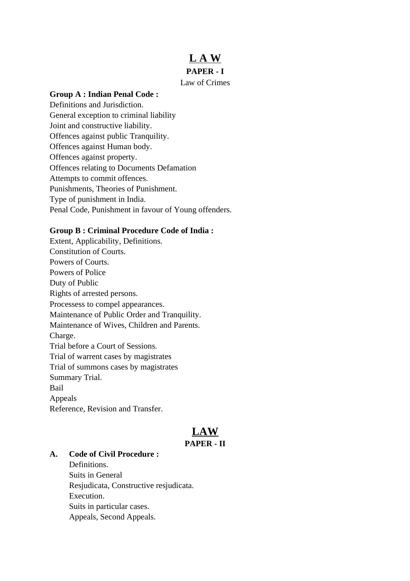# **L A W**

### **PAPER - I**

#### Law of Crimes

#### **Group A : Indian Penal Code :**

Definitions and Jurisdiction. General exception to criminal liability Joint and constructive liability. Offences against public Tranquility. Offences against Human body. Offences against property. Offences relating to Documents Defamation Attempts to commit offences. Punishments, Theories of Punishment. Type of punishment in India. Penal Code, Punishment in favour of Young offenders.

#### **Group B : Criminal Procedure Code of India :**

Extent, Applicability, Definitions. Constitution of Courts. Powers of Courts. Powers of Police Duty of Public Rights of arrested persons. Processess to compel appearances. Maintenance of Public Order and Tranquility. Maintenance of Wives, Children and Parents. Charge. Trial before a Court of Sessions. Trial of warrent cases by magistrates Trial of summons cases by magistrates Summary Trial. Bail Appeals Reference, Revision and Transfer.

## **LAW PAPER - II**

#### **A. Code of Civil Procedure :**

Definitions. Suits in General Resjudicata, Constructive resjudicata. Execution. Suits in particular cases. Appeals, Second Appeals.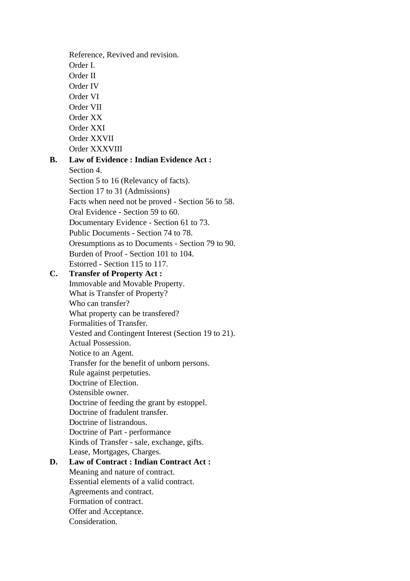Reference, Revived and revision. Order I. Order II Order IV Order VI Order VII Order XX Order XXI Order XXVII Order XXXVIII **B. Law of Evidence : Indian Evidence Act :** Section 4. Section 5 to 16 (Relevancy of facts). Section 17 to 31 (Admissions) Facts when need not be proved - Section 56 to 58. Oral Evidence - Section 59 to 60. Documentary Evidence - Section 61 to 73. Public Documents - Section 74 to 78. Oresumptions as to Documents - Section 79 to 90. Burden of Proof - Section 101 to 104. Estorred - Section 115 to 117. **C. Transfer of Property Act :** Immovable and Movable Property. What is Transfer of Property? Who can transfer? What property can be transfered? Formalities of Transfer. Vested and Contingent Interest (Section 19 to 21). Actual Possession. Notice to an Agent. Transfer for the benefit of unborn persons. Rule against perpetuties. Doctrine of Election. Ostensible owner. Doctrine of feeding the grant by estoppel. Doctrine of fradulent transfer. Doctrine of listrandous. Doctrine of Part - performance Kinds of Transfer - sale, exchange, gifts. Lease, Mortgages, Charges. **D. Law of Contract : Indian Contract Act :** Meaning and nature of contract. Essential elements of a valid contract. Agreements and contract. Formation of contract. Offer and Acceptance. Consideration.